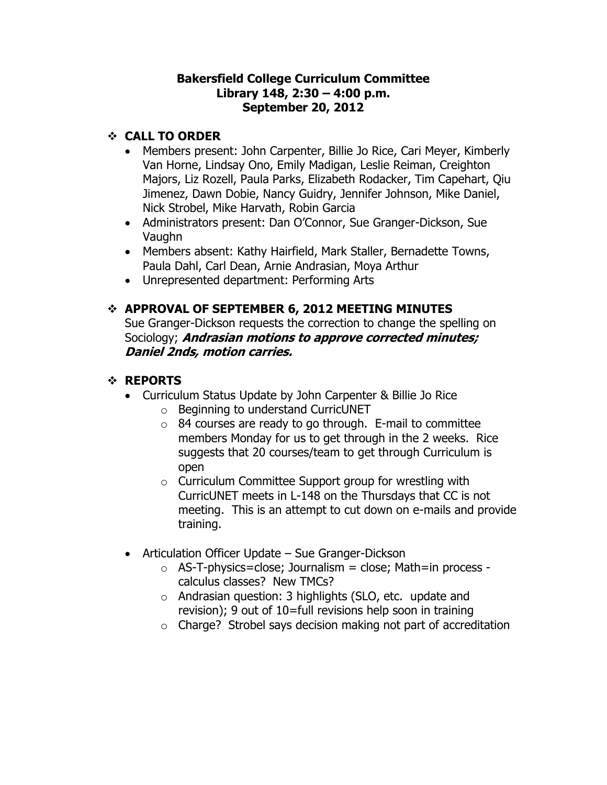#### **Bakersfield College Curriculum Committee Library 148, 2:30 – 4:00 p.m. September 20, 2012**

### **CALL TO ORDER**

- Members present: John Carpenter, Billie Jo Rice, Cari Meyer, Kimberly Van Horne, Lindsay Ono, Emily Madigan, Leslie Reiman, Creighton Majors, Liz Rozell, Paula Parks, Elizabeth Rodacker, Tim Capehart, Qiu Jimenez, Dawn Dobie, Nancy Guidry, Jennifer Johnson, Mike Daniel, Nick Strobel, Mike Harvath, Robin Garcia
- Administrators present: Dan O'Connor, Sue Granger-Dickson, Sue Vaughn
- Members absent: Kathy Hairfield, Mark Staller, Bernadette Towns, Paula Dahl, Carl Dean, Arnie Andrasian, Moya Arthur
- Unrepresented department: Performing Arts

## **APPROVAL OF SEPTEMBER 6, 2012 MEETING MINUTES**

Sue Granger-Dickson requests the correction to change the spelling on Sociology; **Andrasian motions to approve corrected minutes; Daniel 2nds, motion carries.**

## **REPORTS**

- Curriculum Status Update by John Carpenter & Billie Jo Rice
	- o Beginning to understand CurricUNET
	- $\circ$  84 courses are ready to go through. E-mail to committee members Monday for us to get through in the 2 weeks. Rice suggests that 20 courses/team to get through Curriculum is open
	- o Curriculum Committee Support group for wrestling with CurricUNET meets in L-148 on the Thursdays that CC is not meeting. This is an attempt to cut down on e-mails and provide training.
- Articulation Officer Update Sue Granger-Dickson
	- $\circ$  AS-T-physics=close; Journalism = close; Math=in process calculus classes? New TMCs?
	- o Andrasian question: 3 highlights (SLO, etc. update and revision); 9 out of 10=full revisions help soon in training
	- o Charge? Strobel says decision making not part of accreditation